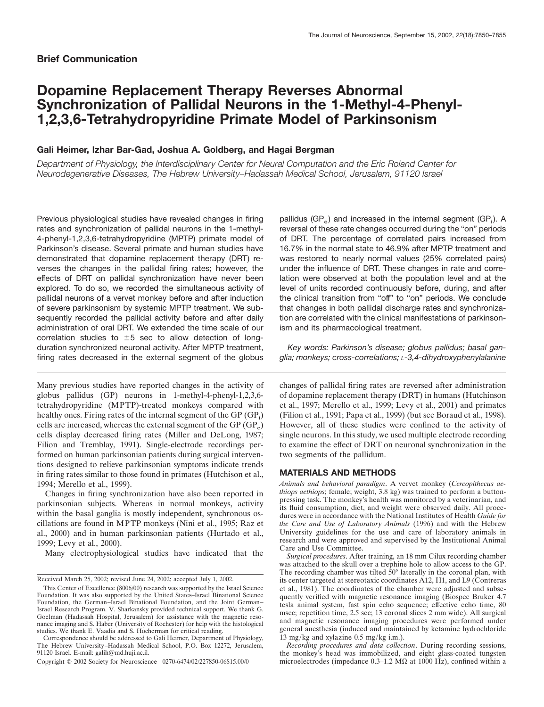# **Dopamine Replacement Therapy Reverses Abnormal Synchronization of Pallidal Neurons in the 1-Methyl-4-Phenyl-1,2,3,6-Tetrahydropyridine Primate Model of Parkinsonism**

## **Gali Heimer, Izhar Bar-Gad, Joshua A. Goldberg, and Hagai Bergman**

*Department of Physiology, the Interdisciplinary Center for Neural Computation and the Eric Roland Center for Neurodegenerative Diseases, The Hebrew University–Hadassah Medical School, Jerusalem, 91120 Israel*

Previous physiological studies have revealed changes in firing rates and synchronization of pallidal neurons in the 1-methyl-4-phenyl-1,2,3,6-tetrahydropyridine (MPTP) primate model of Parkinson's disease. Several primate and human studies have demonstrated that dopamine replacement therapy (DRT) reverses the changes in the pallidal firing rates; however, the effects of DRT on pallidal synchronization have never been explored. To do so, we recorded the simultaneous activity of pallidal neurons of a vervet monkey before and after induction of severe parkinsonism by systemic MPTP treatment. We subsequently recorded the pallidal activity before and after daily administration of oral DRT. We extended the time scale of our correlation studies to  $\pm 5$  sec to allow detection of longduration synchronized neuronal activity. After MPTP treatment, firing rates decreased in the external segment of the globus

Many previous studies have reported changes in the activity of globus pallidus (GP) neurons in 1-methyl-4-phenyl-1,2,3,6 tetrahydropyridine (MPTP)-treated monkeys compared with healthy ones. Firing rates of the internal segment of the  $\text{GP } (\text{GP}_i)$ cells are increased, whereas the external segment of the GP  $(GP_e)$ cells display decreased firing rates (Miller and DeLong, 1987; Filion and Tremblay, 1991). Single-electrode recordings performed on human parkinsonian patients during surgical interventions designed to relieve parkinsonian symptoms indicate trends in firing rates similar to those found in primates (Hutchison et al., 1994; Merello et al., 1999).

Changes in firing synchronization have also been reported in parkinsonian subjects. Whereas in normal monkeys, activity within the basal ganglia is mostly independent, synchronous oscillations are found in MPTP monkeys (Nini et al., 1995; Raz et al., 2000) and in human parkinsonian patients (Hurtado et al., 1999; Levy et al., 2000).

Many electrophysiological studies have indicated that the

pallidus (GP $_{\circ}$ ) and increased in the internal segment (GP $_{\circ}$ ). A reversal of these rate changes occurred during the "on" periods of DRT. The percentage of correlated pairs increased from 16.7% in the normal state to 46.9% after MPTP treatment and was restored to nearly normal values (25% correlated pairs) under the influence of DRT. These changes in rate and correlation were observed at both the population level and at the level of units recorded continuously before, during, and after the clinical transition from "off" to "on" periods. We conclude that changes in both pallidal discharge rates and synchronization are correlated with the clinical manifestations of parkinsonism and its pharmacological treatment.

*Key words: Parkinson's disease; globus pallidus; basal ganglia; monkeys; cross-correlations; L-3,4-dihydroxyphenylalanine*

changes of pallidal firing rates are reversed after administration of dopamine replacement therapy (DRT) in humans (Hutchinson et al., 1997; Merello et al., 1999; Levy et al., 2001) and primates (Filion et al., 1991; Papa et al., 1999) (but see Boraud et al., 1998). However, all of these studies were confined to the activity of single neurons. In this study, we used multiple electrode recording to examine the effect of DRT on neuronal synchronization in the two segments of the pallidum.

## **MATERIALS AND METHODS**

*Animals and behavioral paradigm*. A vervet monkey (*Cercopithecus aethiops aethiops*; female; weight, 3.8 kg) was trained to perform a buttonpressing task. The monkey's health was monitored by a veterinarian, and its fluid consumption, diet, and weight were observed daily. All procedures were in accordance with the National Institutes of Health *Guide for the Care and Use of Laboratory Animals* (1996) and with the Hebrew University guidelines for the use and care of laboratory animals in research and were approved and supervised by the Institutional Animal Care and Use Committee.

*Surgical procedures*. After training, an 18 mm Cilux recording chamber was attached to the skull over a trephine hole to allow access to the GP. The recording chamber was tilted  $\bar{50}^{\circ}$  laterally in the coronal plan, with its center targeted at stereotaxic coordinates A12, H1, and L9 (Contreras et al., 1981). The coordinates of the chamber were adjusted and subsequently verified with magnetic resonance imaging (Biospec Bruker 4.7 tesla animal system, fast spin echo sequence; effective echo time, 80 msec; repetition time, 2.5 sec; 13 coronal slices 2 mm wide). All surgical and magnetic resonance imaging procedures were performed under general anesthesia (induced and maintained by ketamine hydrochloride 13 mg/kg and xylazine 0.5 mg/kg i.m.).

*Recording procedures and data collection*. During recording sessions, the monkey's head was immobilized, and eight glass-coated tungsten microelectrodes (impedance  $0.3-1.2$  M $\Omega$  at 1000 Hz), confined within a

Received March 25, 2002; revised June 24, 2002; accepted July 1, 2002.

This Center of Excellence (8006/00) research was supported by the Israel Science Foundation. It was also supported by the United States–Israel Binational Science Foundation, the German–Israel Binational Foundation, and the Joint German– Israel Research Program. V. Sharkansky provided technical support. We thank G. Goelman (Hadassah Hospital, Jerusalem) for assistance with the magnetic resonance imaging and S. Haber (University of Rochester) for help with the histological studies. We thank E. Vaadia and S. Hocherman for critical reading.

Correspondence should be addressed to Gali Heimer, Department of Physiology, The Hebrew University–Hadassah Medical School, P.O. Box 12272, Jerusalem, 91120 Israel. E-mail: galih@md.huji.ac.il.

Copyright © 2002 Society for Neuroscience 0270-6474/02/227850-06\$15.00/0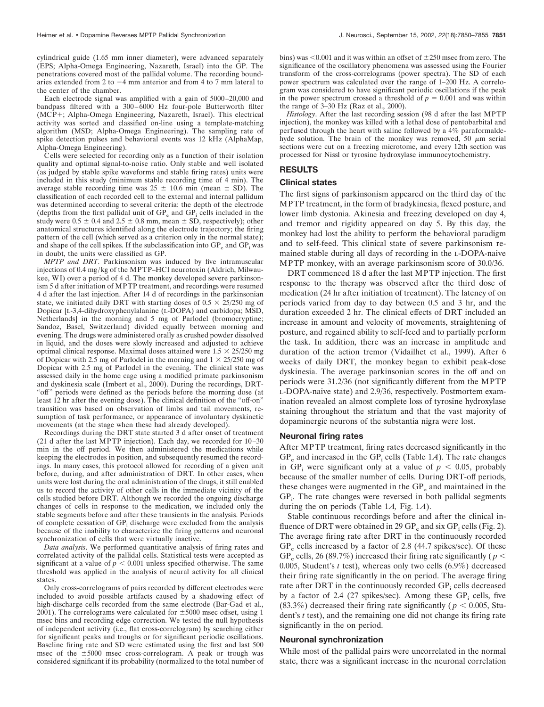cylindrical guide (1.65 mm inner diameter), were advanced separately (EPS; Alpha-Omega Engineering, Nazareth, Israel) into the GP. The penetrations covered most of the pallidal volume. The recording boundaries extended from 2 to  $-4$  mm anterior and from 4 to 7 mm lateral to the center of the chamber.

Each electrode signal was amplified with a gain of 5000–20,000 and bandpass filtered with a 300–6000 Hz four-pole Butterworth filter (MCP+; Alpha-Omega Engineering, Nazareth, Israel). This electrical activity was sorted and classified on-line using a template-matching algorithm (MSD; Alpha-Omega Engineering). The sampling rate of spike detection pulses and behavioral events was 12 kHz (AlphaMap, Alpha-Omega Engineering).

Cells were selected for recording only as a function of their isolation quality and optimal signal-to-noise ratio. Only stable and well isolated (as judged by stable spike waveforms and stable firing rates) units were included in this study (minimum stable recording time of 4 min). The average stable recording time was  $25 \pm 10.6$  min (mean  $\pm$  SD). The classification of each recorded cell to the external and internal pallidum was determined according to several criteria: the depth of the electrode (depths from the first pallidal unit of  $GP<sub>e</sub>$  and  $GP<sub>i</sub>$  cells included in the study were  $0.5 \pm 0.4$  and  $2.5 \pm 0.8$  mm, mean  $\pm$  SD, respectively); other anatomical structures identified along the electrode trajectory; the firing pattern of the cell (which served as a criterion only in the normal state); and shape of the cell spikes. If the subclassification into  $GP_e$  and  $GP_i$  was in doubt, the units were classified as GP.

*MPTP and DRT*. Parkinsonism was induced by five intramuscular injections of 0.4 mg/kg of the MPTP–HCl neurotoxin (Aldrich, Milwaukee, WI) over a period of 4 d. The monkey developed severe parkinsonism 5 d after initiation of MPTP treatment, and recordings were resumed 4 d after the last injection. After 14 d of recordings in the parkinsonian state, we initiated daily DRT with starting doses of  $0.5 \times 25/250$  mg of Dopicar [L-3,4-dihydroxyphenylalanine (L-DOPA) and carbidopa; MSD, Netherlands] in the morning and 5 mg of Parlodel (bromocryptine; Sandoz, Basel, Switzerland) divided equally between morning and evening. The drugs were administered orally as crushed powder dissolved in liquid, and the doses were slowly increased and adjusted to achieve optimal clinical response. Maximal doses attained were  $1.5 \times 25/250$  mg of Dopicar with 2.5 mg of Parlodel in the morning and  $1 \times 25/250$  mg of Dopicar with 2.5 mg of Parlodel in the evening. The clinical state was assessed daily in the home cage using a modified primate parkinsonism and dyskinesia scale (Imbert et al., 2000). During the recordings, DRT- "off" periods were defined as the periods before the morning dose (at least 12 hr after the evening dose). The clinical definition of the "off-on" transition was based on observation of limbs and tail movements, resumption of task performance, or appearance of involuntary dyskinetic movements (at the stage when these had already developed).

Recordings during the DRT state started 3 d after onset of treatment (21 d after the last MPTP injection). Each day, we recorded for 10–30 min in the off period. We then administered the medications while keeping the electrodes in position, and subsequently resumed the recordings. In many cases, this protocol allowed for recording of a given unit before, during, and after administration of DRT. In other cases, when units were lost during the oral administration of the drugs, it still enabled us to record the activity of other cells in the immediate vicinity of the cells studied before DRT. Although we recorded the ongoing discharge changes of cells in response to the medication, we included only the stable segments before and after these transients in the analysis. Periods of complete cessation of  $GP_i$  discharge were excluded from the analysis because of the inability to characterize the firing patterns and neuronal synchronization of cells that were virtually inactive.

*Data analysis*. We performed quantitative analysis of firing rates and correlated activity of the pallidal cells. Statistical tests were accepted as significant at a value of  $p < 0.001$  unless specified otherwise. The same threshold was applied in the analysis of neural activity for all clinical states.

Only cross-correlograms of pairs recorded by different electrodes were included to avoid possible artifacts caused by a shadowing effect of high-discharge cells recorded from the same electrode (Bar-Gad et al., 2001). The correlograms were calculated for  $\pm 5000$  msec offset, using 1 msec bins and recording edge correction. We tested the null hypothesis of independent activity (i.e., flat cross-correlogram) by searching either for significant peaks and troughs or for significant periodic oscillations. Baseline firing rate and SD were estimated using the first and last 500 msec of the  $\pm 5000$  msec cross-correlogram. A peak or trough was considered significant if its probability (normalized to the total number of bins) was  $\leq 0.001$  and it was within an offset of  $\pm 250$  msec from zero. The significance of the oscillatory phenomena was assessed using the Fourier transform of the cross-correlograms (power spectra). The SD of each power spectrum was calculated over the range of 1–200 Hz. A correlogram was considered to have significant periodic oscillations if the peak in the power spectrum crossed a threshold of  $p = 0.001$  and was within the range of  $3-30$  Hz (Raz et al., 2000).

*Histology*. After the last recording session (98 d after the last MPTP injection), the monkey was killed with a lethal dose of pentobarbital and perfused through the heart with saline followed by a 4% paraformaldehyde solution. The brain of the monkey was removed, 50  $\mu$ m serial sections were cut on a freezing microtome, and every 12th section was processed for Nissl or tyrosine hydroxylase immunocytochemistry.

## **RESULTS**

#### **Clinical states**

The first signs of parkinsonism appeared on the third day of the MPTP treatment, in the form of bradykinesia, flexed posture, and lower limb dystonia. Akinesia and freezing developed on day 4, and tremor and rigidity appeared on day 5. By this day, the monkey had lost the ability to perform the behavioral paradigm and to self-feed. This clinical state of severe parkinsonism remained stable during all days of recording in the L-DOPA-naive MPTP monkey, with an average parkinsonism score of 30.0/36.

DRT commenced 18 d after the last MPTP injection. The first response to the therapy was observed after the third dose of medication (24 hr after initiation of treatment). The latency of on periods varied from day to day between 0.5 and 3 hr, and the duration exceeded 2 hr. The clinical effects of DRT included an increase in amount and velocity of movements, straightening of posture, and regained ability to self-feed and to partially perform the task. In addition, there was an increase in amplitude and duration of the action tremor (Vidailhet et al., 1999). After 6 weeks of daily DRT, the monkey began to exhibit peak-dose dyskinesia. The average parkinsonian scores in the off and on periods were 31.2/36 (not significantly different from the MPTP L-DOPA-naive state) and 2.9/36, respectively. Postmortem examination revealed an almost complete loss of tyrosine hydroxylase staining throughout the striatum and that the vast majority of dopaminergic neurons of the substantia nigra were lost.

#### **Neuronal firing rates**

After MPTP treatment, firing rates decreased significantly in the  $GP_e$  and increased in the  $GP_i$  cells (Table 1A). The rate changes in GP<sub>i</sub> were significant only at a value of  $p < 0.05$ , probably because of the smaller number of cells. During DRT-off periods, these changes were augmented in the  $GP_e$  and maintained in the GP<sub>i</sub>. The rate changes were reversed in both pallidal segments during the on periods (Table 1*A,* Fig. 1*A*).

Stable continuous recordings before and after the clinical influence of DRT were obtained in 29  $GP_e$  and six  $GP_i$  cells (Fig. 2). The average firing rate after DRT in the continuously recorded  $GP_e$  cells increased by a factor of 2.8 (44.7 spikes/sec). Of these GP<sub>e</sub> cells, 26 (89.7%) increased their firing rate significantly ( $p <$ 0.005, Student's *t* test), whereas only two cells (6.9%) decreased their firing rate significantly in the on period. The average firing rate after DRT in the continuously recorded GP<sub>i</sub> cells decreased by a factor of 2.4 (27 spikes/sec). Among these  $GP_i$  cells, five (83.3%) decreased their firing rate significantly ( $p < 0.005$ , Student's *t* test), and the remaining one did not change its firing rate significantly in the on period.

#### **Neuronal synchronization**

While most of the pallidal pairs were uncorrelated in the normal state, there was a significant increase in the neuronal correlation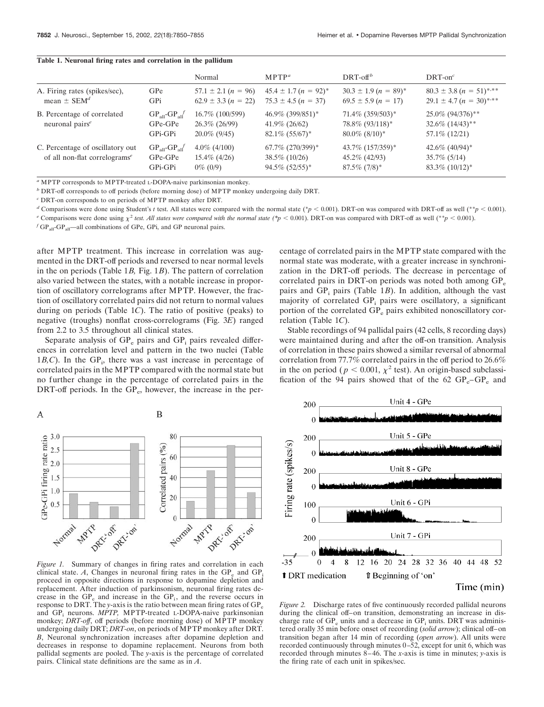|                                                                               |                                             | Normal                                               | MPTP <sup>a</sup>                                                     | $DRT$ -off <sup>b</sup>                                                    | $DRT$ -on <sup>c</sup>                                                            |
|-------------------------------------------------------------------------------|---------------------------------------------|------------------------------------------------------|-----------------------------------------------------------------------|----------------------------------------------------------------------------|-----------------------------------------------------------------------------------|
| A. Firing rates (spikes/sec),<br>mean $\pm$ SEM <sup>d</sup>                  | GPe<br>GPi                                  | $57.1 \pm 2.1 (n = 96)$<br>$62.9 \pm 3.3 (n = 22)$   | $45.4 \pm 1.7 (n = 92)^*$<br>$75.3 \pm 4.5 (n = 37)$                  | $30.3 \pm 1.9 (n = 89)^*$<br>$69.5 \pm 5.9 (n = 17)$                       | $80.3 \pm 3.8 (n = 51)^{*,**}$<br>$29.1 \pm 4.7 (n = 30)^{*,**}$                  |
| B. Percentage of correlated<br>neuronal pairs <sup>e</sup>                    | $GPall-GPall$<br>GPe-GPe<br>GPi-GPi         | 16.7\% (100/599)<br>26.3% (26/99)<br>$20.0\%$ (9/45) | 46.9% (399/851)*<br>$41.9\%$ (26/62)<br>$82.1\%$ (55/67) <sup>*</sup> | $71.4\%$ (359/503) <sup>*</sup><br>78.8\% (93/118)*<br>$80.0\%$ $(8/10)^*$ | 25.0% (94/376)**<br>$32.6\%$ $(14/43)$ <sup>**</sup><br>57.1\% (12/21)            |
| C. Percentage of oscillatory out<br>of all non-flat correlograms <sup>e</sup> | $GP_{all} - GP_{all}$<br>GPe-GPe<br>GPi-GPi | $4.0\%$ (4/100)<br>$15.4\%$ (4/26)<br>$0\%$ (0/9)    | 67.7% (270/399)*<br>$38.5\%$ (10/26)<br>$94.5\%$ $(52/55)^*$          | 43.7% (157/359)*<br>$45.2\%$ (42/93)<br>$87.5\%$ $(7/8)*$                  | $42.6\%$ (40/94) <sup>*</sup><br>$35.7\%$ (5/14)<br>$83.3\%$ (10/12) <sup>*</sup> |

**Table 1. Neuronal firing rates and correlation in the pallidum**

*<sup>a</sup>* MPTP corresponds to MPTP-treated L-DOPA-naive parkinsonian monkey.

*b* DRT-off corresponds to off periods (before morning dose) of MPTP monkey undergoing daily DRT.

*<sup>c</sup>* DRT-on corresponds to on periods of MPTP monkey after DRT.

*d* Comparisons were done using Student's *t* test. All states were compared with the normal state (\**p* < 0.001). DRT-on was compared with DRT-off as well (\*\**p* < 0.001).

<sup>*e*</sup> Comparisons were done using  $\chi^2$  *test. All states were compared with the normal state (\*p* < 0.001). DRT-on was compared with DRT-off as well (\*\**p* < 0.001).

 $f$  GP<sub>all</sub>-GP<sub>all</sub>-all combinations of GPe, GPi, and GP neuronal pairs.

after MPTP treatment. This increase in correlation was augmented in the DRT-off periods and reversed to near normal levels in the on periods (Table 1*B,* Fig. 1*B*). The pattern of correlation also varied between the states, with a notable increase in proportion of oscillatory correlograms after MPTP. However, the fraction of oscillatory correlated pairs did not return to normal values during on periods (Table 1*C*). The ratio of positive (peaks) to negative (troughs) nonflat cross-correlograms (Fig. 3*E*) ranged from 2.2 to 3.5 throughout all clinical states.

Separate analysis of  $GP_e$  pairs and  $GP_i$  pairs revealed differences in correlation level and pattern in the two nuclei (Table  $1B$ , *C*). In the GP<sub>i</sub>, there was a vast increase in percentage of correlated pairs in the MPTP compared with the normal state but no further change in the percentage of correlated pairs in the DRT-off periods. In the  $GP_e$ , however, the increase in the percentage of correlated pairs in the MPTP state compared with the normal state was moderate, with a greater increase in synchronization in the DRT-off periods. The decrease in percentage of correlated pairs in DRT-on periods was noted both among  $GP_e$ pairs and  $GP_i$  pairs (Table 1*B*). In addition, although the vast majority of correlated GP<sub>i</sub> pairs were oscillatory, a significant portion of the correlated  $GP_e$  pairs exhibited nonoscillatory correlation (Table 1*C*).

Stable recordings of 94 pallidal pairs (42 cells, 8 recording days) were maintained during and after the off-on transition. Analysis of correlation in these pairs showed a similar reversal of abnormal correlation from 77.7% correlated pairs in the off period to 26.6% in the on period ( $p < 0.001$ ,  $\chi^2$  test). An origin-based subclassification of the 94 pairs showed that of the 62  $\text{GP}_e-\text{GP}_e$  and



*Figure 1.* Summary of changes in firing rates and correlation in each clinical state.  $A$ , Changes in neuronal firing rates in the  $GP<sub>e</sub>$  and  $GP<sub>i</sub>$ proceed in opposite directions in response to dopamine depletion and replacement. After induction of parkinsonism, neuronal firing rates decrease in the  $GP_e$  and increase in the  $GP_i$ , and the reverse occurs in response to DRT. The *y*-axis is the ratio between mean firing rates of GP<sub>e</sub> and GP<sub>i</sub> neurons. *MPTP*, MPTP-treated L-DOPA-naive parkinsonian monkey; *DRT-off*, off periods (before morning dose) of MPTP monkey undergoing daily DRT; *DRT-on*, on periods of MPTP monkey after DRT. *B*, Neuronal synchronization increases after dopamine depletion and decreases in response to dopamine replacement. Neurons from both pallidal segments are pooled. The *y*-axis is the percentage of correlated pairs. Clinical state definitions are the same as in *A*.



*Figure 2.* Discharge rates of five continuously recorded pallidal neurons during the clinical off–on transition, demonstrating an increase in discharge rate of  $GP_e$  units and a decrease in  $GP_i$  units. DRT was administered orally 35 min before onset of recording (*solid arrow*); clinical off–on transition began after 14 min of recording (*open arrow*). All units were recorded continuously through minutes 0–52, except for unit 6, which was recorded through minutes 8–46. The *x*-axis is time in minutes; *y*-axis is the firing rate of each unit in spikes/sec.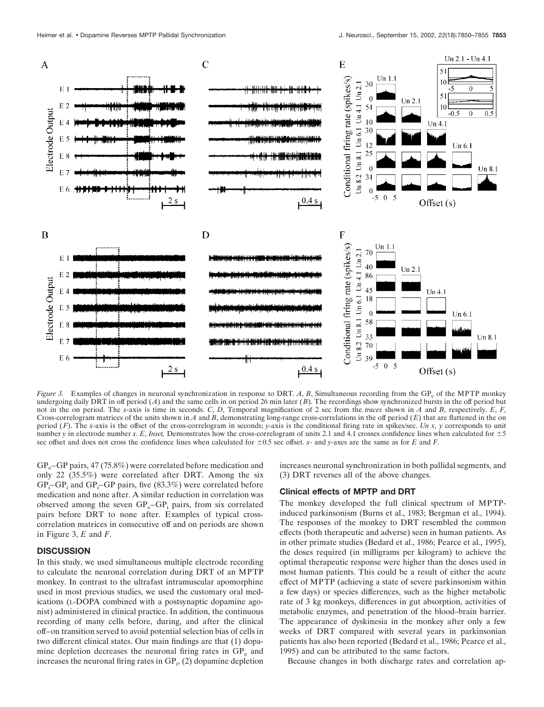

*Figure 3.* Examples of changes in neuronal synchronization in response to DRT. A, B, Simultaneous recording from the GP<sub>e</sub> of the MPTP monkey undergoing daily DRT in off period  $(A)$  and the same cells in on period 26 min later  $(B)$ . The recordings show synchronized bursts in the off period but not in the on period. The *x*-axis is time in seconds. *C*, *D*, Temporal magnification of 2 sec from the *traces* shown in *A* and *B*, respectively. *E*, *F*, Cross-correlogram matrices of the units shown in  $A$  and  $B$ , demonstrating long-range cross-correlations in the off period  $(E)$  that are flattened in the on period (*F*). The *x*-axis is the offset of the cross-correlogram in seconds; *y*-axis is the conditional firing rate in spikes/sec. *Un x, y* corresponds to unit number *y* in electrode number *x*. *E*, *Inset*, Demonstrates how the cross-correlogram of units 2.1 and 4.1 crosses confidence lines when calculated for  $\pm 5$ sec offset and does not cross the confidence lines when calculated for  $\pm 0.5$  sec offset. *x*- and *y*-axes are the same as for *E* and *F*.

 $GP<sub>e</sub>$ –GP pairs, 47 (75.8%) were correlated before medication and only 22 (35.5%) were correlated after DRT. Among the six  $GP_i$ – $GP_i$  and  $GP_i$ – $GP$  pairs, five (83.3%) were correlated before medication and none after. A similar reduction in correlation was observed among the seven  $GP_e-GP_i$  pairs, from six correlated pairs before DRT to none after. Examples of typical crosscorrelation matrices in consecutive off and on periods are shown in Figure 3, *E* and *F*.

## **DISCUSSION**

In this study, we used simultaneous multiple electrode recording to calculate the neuronal correlation during DRT of an MPTP monkey. In contrast to the ultrafast intramuscular apomorphine used in most previous studies, we used the customary oral medications (L-DOPA combined with a postsynaptic dopamine agonist) administered in clinical practice. In addition, the continuous recording of many cells before, during, and after the clinical off–on transition served to avoid potential selection bias of cells in two different clinical states. Our main findings are that (1) dopamine depletion decreases the neuronal firing rates in  $GP<sub>e</sub>$  and increases the neuronal firing rates in  $GP_i$ , (2) dopamine depletion

increases neuronal synchronization in both pallidal segments, and (3) DRT reverses all of the above changes.

## **Clinical effects of MPTP and DRT**

The monkey developed the full clinical spectrum of MPTPinduced parkinsonism (Burns et al., 1983; Bergman et al., 1994). The responses of the monkey to DRT resembled the common effects (both therapeutic and adverse) seen in human patients. As in other primate studies (Bedard et al., 1986; Pearce et al., 1995), the doses required (in milligrams per kilogram) to achieve the optimal therapeutic response were higher than the doses used in most human patients. This could be a result of either the acute effect of MPTP (achieving a state of severe parkinsonism within a few days) or species differences, such as the higher metabolic rate of 3 kg monkeys, differences in gut absorption, activities of metabolic enzymes, and penetration of the blood–brain barrier. The appearance of dyskinesia in the monkey after only a few weeks of DRT compared with several years in parkinsonian patients has also been reported (Bedard et al., 1986; Pearce et al., 1995) and can be attributed to the same factors.

Because changes in both discharge rates and correlation ap-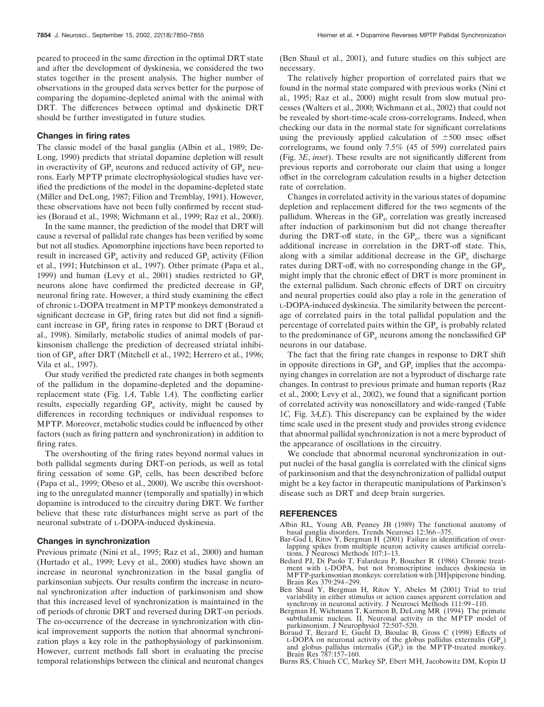peared to proceed in the same direction in the optimal DRT state and after the development of dyskinesia, we considered the two states together in the present analysis. The higher number of observations in the grouped data serves better for the purpose of comparing the dopamine-depleted animal with the animal with DRT. The differences between optimal and dyskinetic DRT should be further investigated in future studies.

#### **Changes in firing rates**

The classic model of the basal ganglia (Albin et al., 1989; De-Long, 1990) predicts that striatal dopamine depletion will result in overactivity of  $GP$ , neurons and reduced activity of  $GP$ <sub>e</sub> neurons. Early MPTP primate electrophysiological studies have verified the predictions of the model in the dopamine-depleted state (Miller and DeLong, 1987; Filion and Tremblay, 1991). However, these observations have not been fully confirmed by recent studies (Boraud et al., 1998; Wichmann et al., 1999; Raz et al., 2000).

In the same manner, the prediction of the model that DRT will cause a reversal of pallidal rate changes has been verified by some but not all studies. Apomorphine injections have been reported to result in increased  $GP_e$  activity and reduced  $GP_i$  activity (Filion et al., 1991; Hutchinson et al., 1997). Other primate (Papa et al., 1999) and human (Levy et al., 2001) studies restricted to  $GP_i$ neurons alone have confirmed the predicted decrease in  $GP_i$ neuronal firing rate. However, a third study examining the effect of chronic L-DOPA treatment in MPTP monkeys demonstrated a significant decrease in  $GP_i$  firing rates but did not find a significant increase in GP<sub>e</sub> firing rates in response to DRT (Boraud et al., 1998). Similarly, metabolic studies of animal models of parkinsonism challenge the prediction of decreased striatal inhibition of  $GP_e$  after DRT (Mitchell et al., 1992; Herrero et al., 1996; Vila et al., 1997).

Our study verified the predicted rate changes in both segments of the pallidum in the dopamine-depleted and the dopaminereplacement state (Fig. 1*A*, Table 1*A*). The conflicting earlier results, especially regarding  $GP_e$  activity, might be caused by differences in recording techniques or individual responses to MPTP. Moreover, metabolic studies could be influenced by other factors (such as firing pattern and synchronization) in addition to firing rates.

The overshooting of the firing rates beyond normal values in both pallidal segments during DRT-on periods, as well as total firing cessation of some GP<sub>i</sub> cells, has been described before (Papa et al., 1999; Obeso et al., 2000). We ascribe this overshooting to the unregulated manner (temporally and spatially) in which dopamine is introduced to the circuitry during DRT. We further believe that these rate disturbances might serve as part of the neuronal substrate of L-DOPA-induced dyskinesia.

#### **Changes in synchronization**

Previous primate (Nini et al., 1995; Raz et al., 2000) and human (Hurtado et al., 1999; Levy et al., 2000) studies have shown an increase in neuronal synchronization in the basal ganglia of parkinsonian subjects. Our results confirm the increase in neuronal synchronization after induction of parkinsonism and show that this increased level of synchronization is maintained in the off periods of chronic DRT and reversed during DRT-on periods. The co-occurrence of the decrease in synchronization with clinical improvement supports the notion that abnormal synchronization plays a key role in the pathophysiology of parkinsonism. However, current methods fall short in evaluating the precise temporal relationships between the clinical and neuronal changes

(Ben Shaul et al., 2001), and future studies on this subject are necessary.

The relatively higher proportion of correlated pairs that we found in the normal state compared with previous works (Nini et al., 1995; Raz et al., 2000) might result from slow mutual processes (Walters et al., 2000; Wichmann et al., 2002) that could not be revealed by short-time-scale cross-correlograms. Indeed, when checking our data in the normal state for significant correlations using the previously applied calculation of  $\pm 500$  msec offset correlograms, we found only 7.5% (45 of 599) correlated pairs (Fig. 3*E*, *inset*). These results are not significantly different from previous reports and corroborate our claim that using a longer offset in the correlogram calculation results in a higher detection rate of correlation.

Changes in correlated activity in the various states of dopamine depletion and replacement differed for the two segments of the pallidum. Whereas in the GP<sub>i</sub>, correlation was greatly increased after induction of parkinsonism but did not change thereafter during the DRT-off state, in the  $GP_e$ , there was a significant additional increase in correlation in the DRT-off state. This, along with a similar additional decrease in the  $GP_e$  discharge rates during DRT-off, with no corresponding change in the GP<sub>i</sub>, might imply that the chronic effect of DRT is more prominent in the external pallidum. Such chronic effects of DRT on circuitry and neural properties could also play a role in the generation of L-DOPA-induced dyskinesia. The similarity between the percentage of correlated pairs in the total pallidal population and the percentage of correlated pairs within the GP<sub>e</sub> is probably related to the predominance of GP<sub>e</sub> neurons among the nonclassified GP neurons in our database.

The fact that the firing rate changes in response to DRT shift in opposite directions in  $GP_e$  and  $GP_i$  implies that the accompanying changes in correlation are not a byproduct of discharge rate changes. In contrast to previous primate and human reports (Raz et al., 2000; Levy et al., 2002), we found that a significant portion of correlated activity was nonoscillatory and wide-ranged (Table 1*C,* Fig. 3*A,E*). This discrepancy can be explained by the wider time scale used in the present study and provides strong evidence that abnormal pallidal synchronization is not a mere byproduct of the appearance of oscillations in the circuitry.

We conclude that abnormal neuronal synchronization in output nuclei of the basal ganglia is correlated with the clinical signs of parkinsonism and that the desynchronization of pallidal output might be a key factor in therapeutic manipulations of Parkinson's disease such as DRT and deep brain surgeries.

#### **REFERENCES**

- Albin RL, Young AB, Penney JB (1989) The functional anatomy of basal ganglia disorders. Trends Neurosci 12:366–375.
- Bar-Gad I, Ritov Y, Bergman H (2001) Failure in identification of overlapping spikes from multiple neuron activity causes artificial correlations. J Neurosci Methods 107:1-13.
- Bedard PJ, Di Paolo T, Falardeau P, Boucher R (1986) Chronic treatment with L-DOPA, but not bromocriptine induces dyskinesia in MPTP-parkinsonian monkeys: correlation with [3H]spiperone binding. Brain Res 379:294–299.
- Ben Shaul Y, Bergman H, Ritov Y, Abeles M (2001) Trial to trial variability in either stimulus or action causes apparent correlation and synchrony in neuronal activity. J Neurosci Methods 111:99–110.
- Bergman H, Wichmann T, Karmon B, DeLong MR (1994) The primate subthalamic nucleus. II. Neuronal activity in the MPTP model of parkinsonism. J Neurophysiol 72:507–520.
- Boraud T, Bezard E, Guehl D, Bioulac B, Gross C (1998) Effects of L-DOPA on neuronal activity of the globus pallidus externalis  $(GP_e)$ and globus pallidus internalis  $(GP_i)$  in the MPTP-treated monkey. Brain Res 787:157–160.
- Burns RS, Chiueh CC, Markey SP, Ebert MH, Jacobowitz DM, Kopin IJ